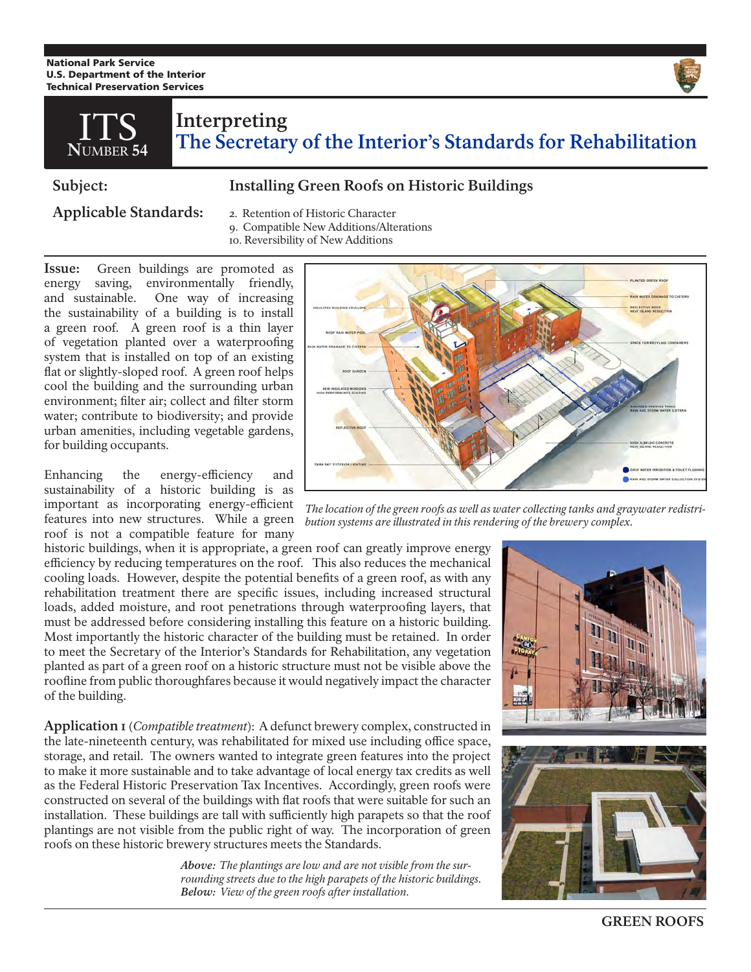National Park Service U.S. Department of the Interior Technical Preservation Services



## **Interpreting The Secretary of the Interior's Standards for Rehabilitation N**UMBER **54**

## **Subject: Installing Green Roofs on Historic Buildings**

**Applicable Standards:** 2. Retention of Historic Character

- 
- 9. Compatible New Additions/Alterations
- 10. Reversibility of New Additions

**Issue:** Green buildings are promoted as energy saving, environmentally friendly, and sustainable. One way of increasing the sustainability of a building is to install a green roof. A green roof is a thin layer of vegetation planted over a waterproofing system that is installed on top of an existing flat or slightly-sloped roof. A green roof helps cool the building and the surrounding urban environment; filter air; collect and filter storm water; contribute to biodiversity; and provide urban amenities, including vegetable gardens, for building occupants.

Enhancing the energy-efficiency and sustainability of a historic building is as important as incorporating energy-efficient features into new structures. While a green roof is not a compatible feature for many

historic buildings, when it is appropriate, a green roof can greatly improve energy efficiency by reducing temperatures on the roof. This also reduces the mechanical cooling loads. However, despite the potential benefits of a green roof, as with any rehabilitation treatment there are specific issues, including increased structural loads, added moisture, and root penetrations through waterproofing layers, that must be addressed before considering installing this feature on a historic building. Most importantly the historic character of the building must be retained. In order to meet the Secretary of the Interior's Standards for Rehabilitation, any vegetation planted as part of a green roof on a historic structure must not be visible above the roofline from public thoroughfares because it would negatively impact the character of the building.

**Application 1** (*Compatible treatment*): A defunct brewery complex, constructed in the late-nineteenth century, was rehabilitated for mixed use including office space, storage, and retail. The owners wanted to integrate green features into the project to make it more sustainable and to take advantage of local energy tax credits as well as the Federal Historic Preservation Tax Incentives. Accordingly, green roofs were constructed on several of the buildings with flat roofs that were suitable for such an installation. These buildings are tall with sufficiently high parapets so that the roof plantings are not visible from the public right of way. The incorporation of green roofs on these historic brewery structures meets the Standards.

> *Above: The plantings are low and are not visible from the surrounding streets due to the high parapets of the historic buildings. Below: View of the green roofs after installation.*



*The location of the green roofs as well as water collecting tanks and graywater redistribution systems are illustrated in this rendering of the brewery complex.*